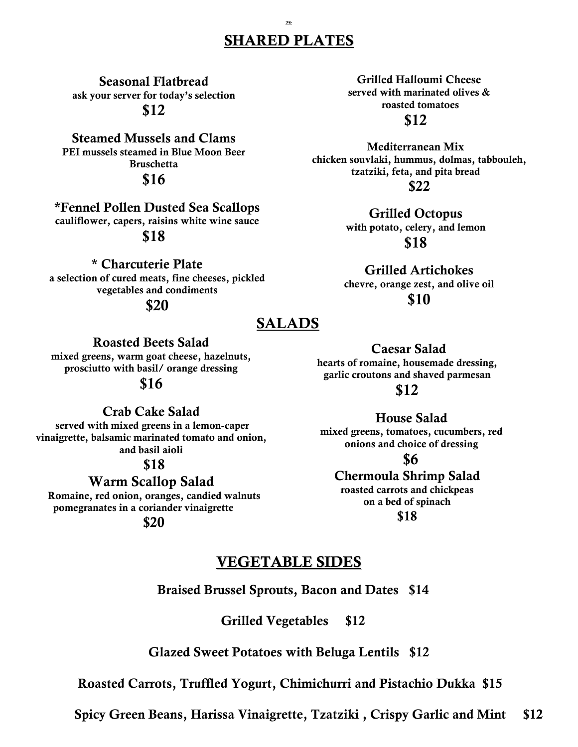#### 76 SHARED PLATES

Seasonal Flatbread ask your server for today's selection \$12

Steamed Mussels and Clams PEI mussels steamed in Blue Moon Beer Bruschetta \$16

\*Fennel Pollen Dusted Sea Scallops cauliflower, capers, raisins white wine sauce

## \$18

\* Charcuterie Plate

a selection of cured meats, fine cheeses, pickled vegetables and condiments

\$20

# SALADS

Roasted Beets Salad

mixed greens, warm goat cheese, hazelnuts, prosciutto with basil/ orange dressing

#### \$16

Crab Cake Salad served with mixed greens in a lemon-caper vinaigrette, balsamic marinated tomato and onion, and basil aioli

\$18

Warm Scallop Salad Romaine, red onion, oranges, candied walnuts pomegranates in a coriander vinaigrette

\$20

Grilled Halloumi Cheese served with marinated olives & roasted tomatoes

\$12

Mediterranean Mix chicken souvlaki, hummus, dolmas, tabbouleh, tzatziki, feta, and pita bread \$22

> Grilled Octopus with potato, celery, and lemon \$18

Grilled Artichokes chevre, orange zest, and olive oil \$10

Caesar Salad hearts of romaine, housemade dressing, garlic croutons and shaved parmesan

\$12

House Salad mixed greens, tomatoes, cucumbers, red onions and choice of dressing

\$6

#### Chermoula Shrimp Salad roasted carrots and chickpeas

on a bed of spinach

\$18

## VEGETABLE SIDES

Braised Brussel Sprouts, Bacon and Dates \$14

Grilled Vegetables \$12

Glazed Sweet Potatoes with Beluga Lentils \$12

Roasted Carrots, Truffled Yogurt, Chimichurri and Pistachio Dukka \$15

Spicy Green Beans, Harissa Vinaigrette, Tzatziki , Crispy Garlic and Mint \$12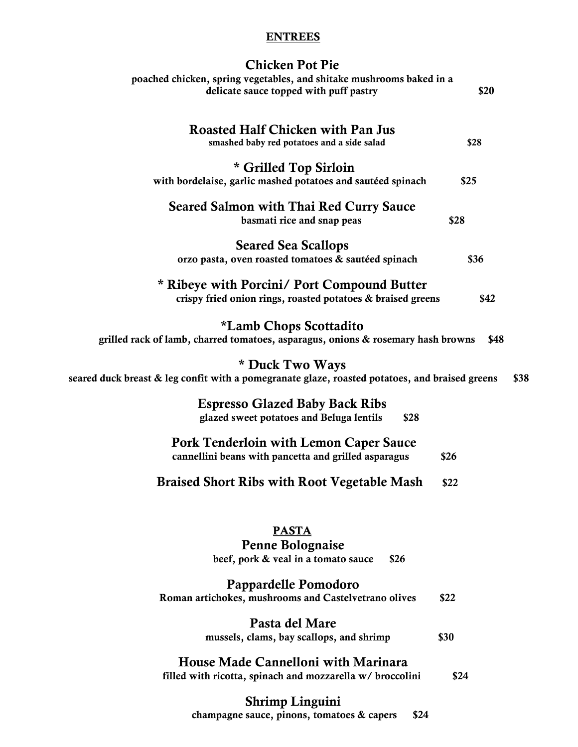#### **ENTREES**

| <b>Chicken Pot Pie</b><br>poached chicken, spring vegetables, and shitake mushrooms baked in a<br>delicate sauce topped with puff pastry | \$20 |
|------------------------------------------------------------------------------------------------------------------------------------------|------|
| <b>Roasted Half Chicken with Pan Jus</b><br>smashed baby red potatoes and a side salad                                                   | \$28 |
| * Grilled Top Sirloin<br>with bordelaise, garlic mashed potatoes and sautéed spinach                                                     | \$25 |
| <b>Seared Salmon with Thai Red Curry Sauce</b><br>basmati rice and snap peas                                                             | \$28 |
| <b>Seared Sea Scallops</b><br>orzo pasta, oven roasted tomatoes & sautéed spinach                                                        | \$36 |
| * Ribeye with Porcini/ Port Compound Butter<br>crispy fried onion rings, roasted potatoes & braised greens                               | \$42 |
| <i>*Lamb Chops Scottadito</i><br>grilled rack of lamb, charred tomatoes, asparagus, onions & rosemary hash browns                        | \$48 |
| * Duck Two Ways<br>seared duck breast & leg confit with a pomegranate glaze, roasted potatoes, and braised greens                        | \$38 |
| <b>Espresso Glazed Baby Back Ribs</b><br>glazed sweet potatoes and Beluga lentils<br>\$28                                                |      |
| <b>Pork Tenderloin with Lemon Caper Sauce</b><br>cannellini beans with pancetta and grilled asparagus                                    | \$26 |
| <b>Braised Short Ribs with Root Vegetable Mash</b>                                                                                       | \$22 |
| <b>PASTA</b><br>Penne Bolognaise<br>beef, pork & veal in a tomato sauce<br>\$26                                                          |      |
| Pappardelle Pomodoro<br>Roman artichokes, mushrooms and Castelvetrano olives                                                             | \$22 |
| Pasta del Mare<br>mussels, clams, bay scallops, and shrimp                                                                               | \$30 |
| House Made Cannelloni with Marinara<br>filled with ricotta, spinach and mozzarella w/ broccolini                                         | \$24 |
| <b>Shrimp Linguini</b>                                                                                                                   |      |

champagne sauce, pinons, tomatoes & capers \$24